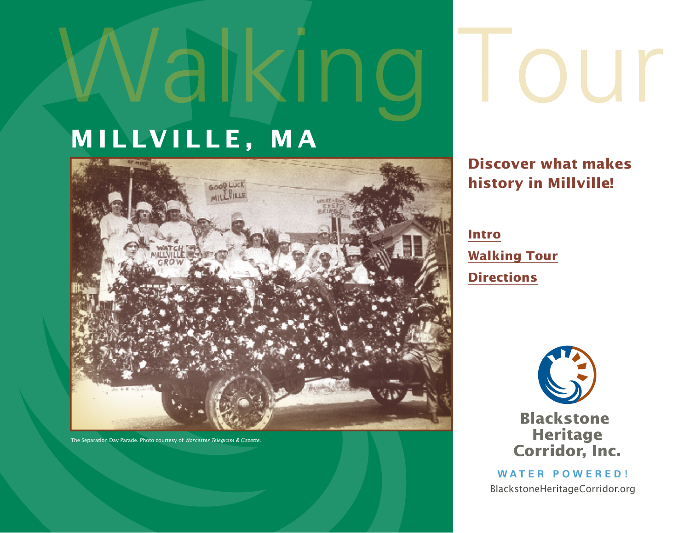# **M i llv i lle, m a**



The Separation Day Parade. Photo courtesy of *Worcester Telegram & Gazette.*

## **Discover what makes history in Millville!**

OUT

## **[Intro](#page-1-0) [Walking Tour](#page-2-0) [Directions](#page-6-0)**



**Blackstone Heritage Corridor, Inc.** 

**Water Po w ered!** BlackstoneHeritageCorridor.org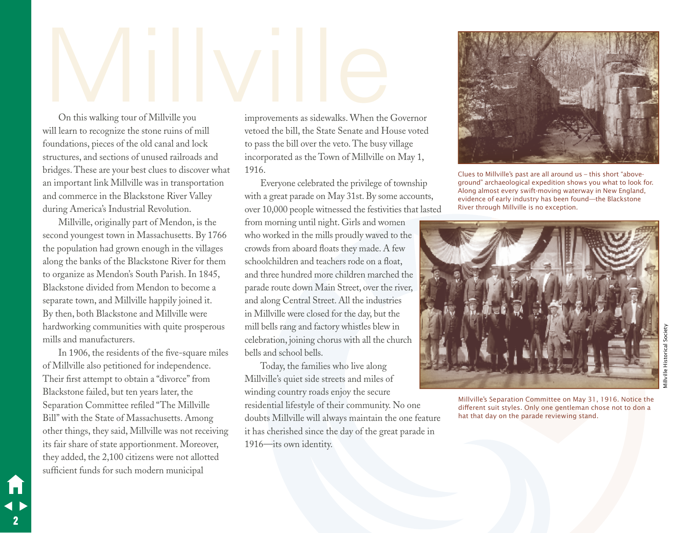## <span id="page-1-0"></span>On this walking tour of Millville you improvements as sidewalks. When the C

On this walking tour of Millville you will learn to recognize the stone ruins of mill foundations, pieces of the old canal and lock structures, and sections of unused railroads and bridges. These are your best clues to discover what an important link Millville was in transportation and commerce in the Blackstone River Valley during America's Industrial Revolution.

Millville, originally part of Mendon, is the second youngest town in Massachusetts. By 1766 the population had grown enough in the villages along the banks of the Blackstone River for them to organize as Mendon's South Parish. In 1845, Blackstone divided from Mendon to become a separate town, and Millville happily joined it. By then, both Blackstone and Millville were hardworking communities with quite prosperous mills and manufacturers.

In 1906, the residents of the five-square miles of Millville also petitioned for independence. Their first attempt to obtain a "divorce" from Blackstone failed, but ten years later, the Separation Committee refiled "The Millville Bill" with the State of Massachusetts. Among other things, they said, Millville was not receiving its fair share of state apportionment. Moreover, they added, the 2,100 citizens were not allotted sufficient funds for such modern municipal

2

improvements as sidewalks. When the Governor vetoed the bill, the State Senate and House voted to pass the bill over the veto. The busy village incorporated as the Town of Millville on May 1, 1916.

Everyone celebrated the privilege of township with a great parade on May 31st. By some accounts, over 10,000 people witnessed the festivities that lasted from morning until night. Girls and women

who worked in the mills proudly waved to the crowds from aboard floats they made. A few schoolchildren and teachers rode on a float, and three hundred more children marched the parade route down Main Street, over the river, and along Central Street. All the industries in Millville were closed for the day, but the mill bells rang and factory whistles blew in celebration, joining chorus with all the church bells and school bells.

Today, the families who live along Millville's quiet side streets and miles of winding country roads enjoy the secure residential lifestyle of their community. No one doubts Millville will always maintain the one feature it has cherished since the day of the great parade in 1916—its own identity.



Clues to Millville's past are all around us – this short "aboveground" archaeological expedition shows you what to look for. Along almost every swift-moving waterway in New England, evidence of early industry has been found—the Blackstone River through Millville is no exception.



Millville's Separation Committee on May 31, 1916. Notice the different suit styles. Only one gentleman chose not to don a hat that day on the parade reviewing stand.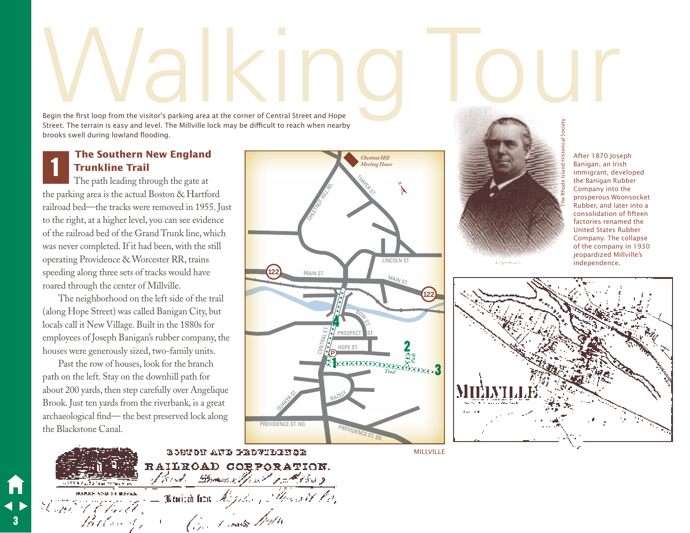## <span id="page-2-0"></span>Regin the first loop from the visitor's parking area at the corner of Central Street and Hope

Begin the first loop from the visitor's parking area at the corner of Central Street and Hope Street. The terrain is easy and level. The Millville lock may be difficult to reach when nearby brooks swell during lowland flooding.

## **The Southern New England Trunkline Trail**

The path leading through the gate at the parking area is the actual Boston & Hartford railroad bed—the tracks were removed in 1955. Just to the right, at a higher level, you can see evidence of the railroad bed of the Grand Trunk line, which was never completed. If it had been, with the still operating Providence & Worcester RR, trains speeding along three sets of tracks would have roared through the center of Millville. 1

The neighborhood on the left side of the trail (along Hope Street) was called Banigan City, but locals call it New Village. Built in the 1880s for employees of Joseph Banigan's rubber company, the houses were generously sized, two-family units.

Past the row of houses, look for the branch path on the left. Stay on the downhill path for about 200 yards, then step carefully over Angelique Brook. Just ten yards from the riverbank, is a great archaeological find— the best preserved lock along the Blackstone Canal.

3







After 1870 Joseph Banigan, an Irish immigrant, developed the Banigan Rubber Company into the prosperous Woonsocket Rubber, and later into a consolidation of fifteen factories renamed the United States Rubber Company. The collapse of the company in 1930 jeopardized Millville's independence.



**MILLVILLE**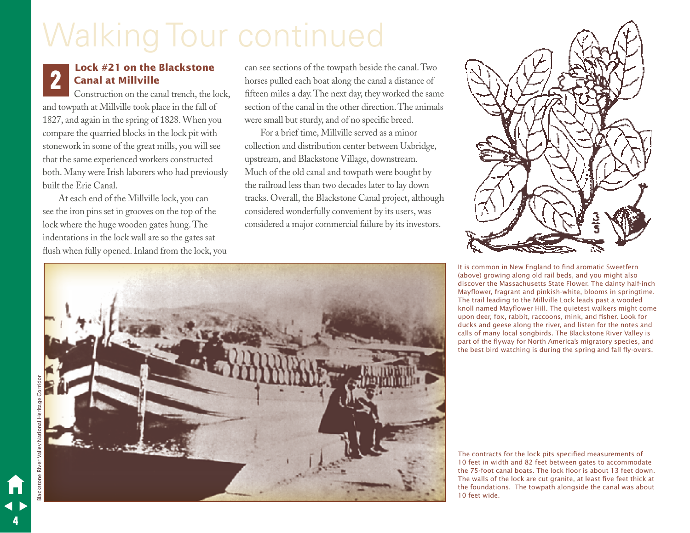## Walking Tour continued

## **Lock #21 on the Blackstone Canal at Millville**

Construction on the canal trench, the lock, and towpath at Millville took place in the fall of 1827, and again in the spring of 1828. When you compare the quarried blocks in the lock pit with stonework in some of the great mills, you will see that the same experienced workers constructed both. Many were Irish laborers who had previously built the Erie Canal.

At each end of the Millville lock, you can see the iron pins set in grooves on the top of the lock where the huge wooden gates hung. The indentations in the lock wall are so the gates sat flush when fully opened. Inland from the lock, you

**2 can see sections of the towpath beside the canal. Two<br>
Canal at Millville** boxes pulled each boat along the canal a distance of<br>
Construction on the canal transh the lock<br>
ffrom miles a day. The next day the waveled the horses pulled each boat along the canal a distance of fifteen miles a day. The next day, they worked the same section of the canal in the other direction. The animals were small but sturdy, and of no specific breed.

> For a brief time, Millville served as a minor collection and distribution center between Uxbridge, upstream, and Blackstone Village, downstream. Much of the old canal and towpath were bought by the railroad less than two decades later to lay down tracks. Overall, the Blackstone Canal project, although considered wonderfully convenient by its users, was considered a major commercial failure by its investors.





It is common in New England to find aromatic Sweetfern (above) growing along old rail beds, and you might also discover the Massachusetts State Flower. The dainty half-inch Mayflower, fragrant and pinkish-white, blooms in springtime. The trail leading to the Millville Lock leads past a wooded knoll named Mayflower Hill. The quietest walkers might come upon deer, fox, rabbit, raccoons, mink, and fisher. Look for ducks and geese along the river, and listen for the notes and calls of many local songbirds. The Blackstone River Valley is part of the flyway for North America's migratory species, and the best bird watching is during the spring and fall fly-overs.

The contracts for the lock pits specified measurements of 10 feet in width and 82 feet between gates to accommodate the 75-foot canal boats. The lock floor is about 13 feet down. The walls of the lock are cut granite, at least five feet thick at the foundations. The towpath alongside the canal was about 10 feet wide.

4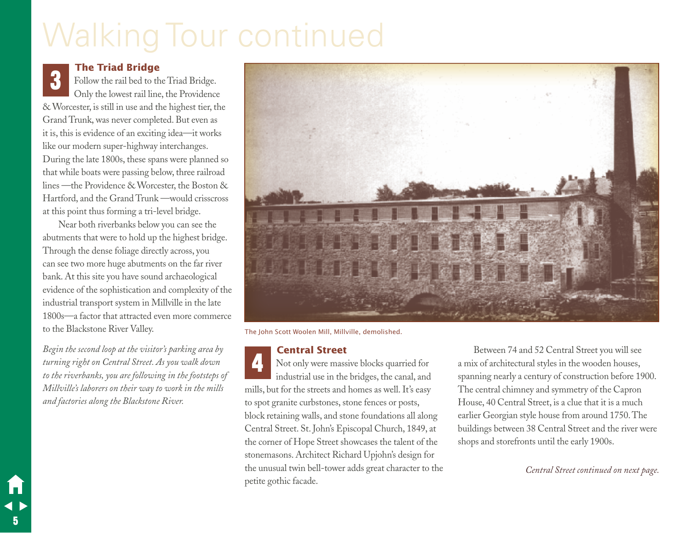## Walking Tour continued

## **The Triad Bridge**

Follow the rail bed to the Triad Bridge. Only the lowest rail line, the Providence & Worcester, is still in use and the highest tier, the Grand Trunk, was never completed. But even as it is, this is evidence of an exciting idea—it works like our modern super-highway interchanges. During the late 1800s, these spans were planned so that while boats were passing below, three railroad lines —the Providence & Worcester, the Boston & Hartford, and the Grand Trunk —would crisscross at this point thus forming a tri-level bridge. 3

Near both riverbanks below you can see the abutments that were to hold up the highest bridge. Through the dense foliage directly across, you can see two more huge abutments on the far river bank. At this site you have sound archaeological evidence of the sophistication and complexity of the industrial transport system in Millville in the late 1800s—a factor that attracted even more commerce to the Blackstone River Valley.

*Begin the second loop at the visitor's parking area by turning right on Central Street. As you walk down to the riverbanks, you are following in the footsteps of Millville's laborers on their way to work in the mills and factories along the Blackstone River.*

5



The John Scott Woolen Mill, Millville, demolished.

#### **Central Street**

Not only were massive blocks quarried for industrial use in the bridges, the canal, and mills, but for the streets and homes as well. It's easy to spot granite curbstones, stone fences or posts, block retaining walls, and stone foundations all along Central Street. St. John's Episcopal Church, 1849, at the corner of Hope Street showcases the talent of the stonemasons. Architect Richard Upjohn's design for the unusual twin bell-tower adds great character to the petite gothic facade. 4

Between 74 and 52 Central Street you will see a mix of architectural styles in the wooden houses, spanning nearly a century of construction before 1900. The central chimney and symmetry of the Capron House, 40 Central Street, is a clue that it is a much earlier Georgian style house from around 1750. The buildings between 38 Central Street and the river were shops and storefronts until the early 1900s.

*Central Street continued on next page.*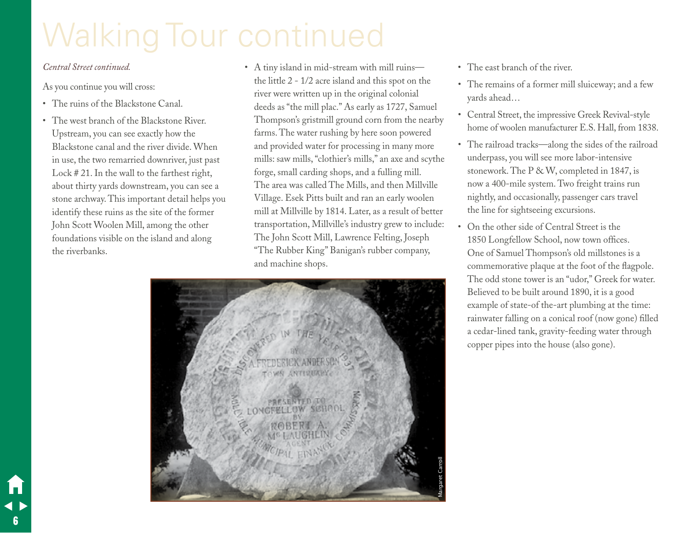## Walking Tour continued

#### *Central Street continued.*

6

As you continue you will cross:

- • The ruins of the Blackstone Canal.
- • The west branch of the Blackstone River. Upstream, you can see exactly how the Blackstone canal and the river divide. When in use, the two remarried downriver, just past Lock # 21. In the wall to the farthest right, about thirty yards downstream, you can see a stone archway. This important detail helps you identify these ruins as the site of the former John Scott Woolen Mill, among the other foundations visible on the island and along the riverbanks.
- A tiny island in mid-stream with mill ruins the little 2 - 1/2 acre island and this spot on the river were written up in the original colonial deeds as "the mill plac." As early as 1727, Samuel Thompson's gristmill ground corn from the nearby farms. The water rushing by here soon powered and provided water for processing in many more mills: saw mills, "clothier's mills," an axe and scythe forge, small carding shops, and a fulling mill. The area was called The Mills, and then Millville Village. Esek Pitts built and ran an early woolen mill at Millville by 1814. Later, as a result of better transportation, Millville's industry grew to include: The John Scott Mill, Lawrence Felting, Joseph "The Rubber King" Banigan's rubber company, and machine shops.
- Margaret Carroll
- The east branch of the river.
- • The remains of a former mill sluiceway; and a few yards ahead…
- • Central Street, the impressive Greek Revival-style home of woolen manufacturer E.S. Hall, from 1838.
- The railroad tracks—along the sides of the railroad underpass, you will see more labor-intensive stonework. The P & W, completed in 1847, is now a 400-mile system. Two freight trains run nightly, and occasionally, passenger cars travel the line for sightseeing excursions.
- On the other side of Central Street is the 1850 Longfellow School, now town offices. One of Samuel Thompson's old millstones is a commemorative plaque at the foot of the flagpole. The odd stone tower is an "udor," Greek for water. Believed to be built around 1890, it is a good example of state-of the-art plumbing at the time: rainwater falling on a conical roof (now gone) filled a cedar-lined tank, gravity-feeding water through copper pipes into the house (also gone).